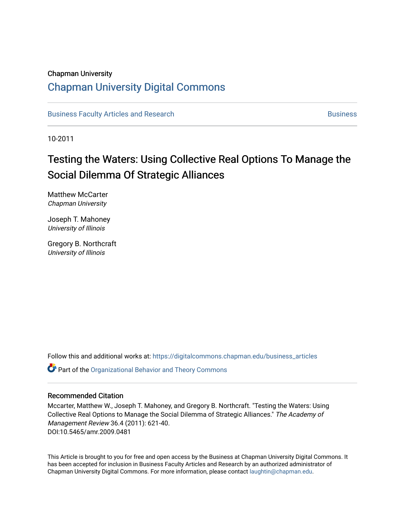### Chapman University

## [Chapman University Digital Commons](https://digitalcommons.chapman.edu/)

[Business Faculty Articles and Research](https://digitalcommons.chapman.edu/business_articles) [Business](https://digitalcommons.chapman.edu/business) **Business** Business

10-2011

# Testing the Waters: Using Collective Real Options To Manage the Social Dilemma Of Strategic Alliances

Matthew McCarter Chapman University

Joseph T. Mahoney University of Illinois

Gregory B. Northcraft University of Illinois

Follow this and additional works at: [https://digitalcommons.chapman.edu/business\\_articles](https://digitalcommons.chapman.edu/business_articles?utm_source=digitalcommons.chapman.edu%2Fbusiness_articles%2F6&utm_medium=PDF&utm_campaign=PDFCoverPages) 

**P** Part of the Organizational Behavior and Theory Commons

#### Recommended Citation

Mccarter, Matthew W., Joseph T. Mahoney, and Gregory B. Northcraft. "Testing the Waters: Using Collective Real Options to Manage the Social Dilemma of Strategic Alliances." The Academy of Management Review 36.4 (2011): 621-40. DOI:10.5465/amr.2009.0481

This Article is brought to you for free and open access by the Business at Chapman University Digital Commons. It has been accepted for inclusion in Business Faculty Articles and Research by an authorized administrator of Chapman University Digital Commons. For more information, please contact [laughtin@chapman.edu](mailto:laughtin@chapman.edu).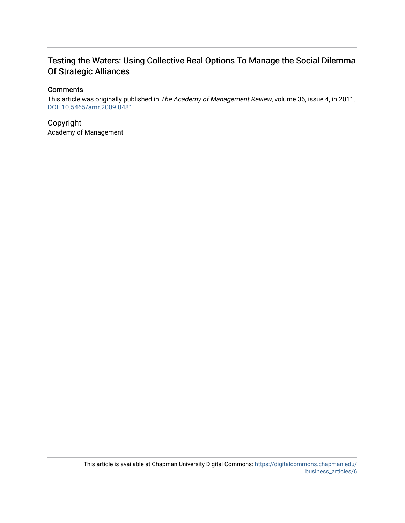### Testing the Waters: Using Collective Real Options To Manage the Social Dilemma Of Strategic Alliances

### **Comments**

This article was originally published in The Academy of Management Review, volume 36, issue 4, in 2011. [DOI: 10.5465/amr.2009.0481](http://dx.doi.org/10.5465/amr.2009.0481) 

Copyright Academy of Management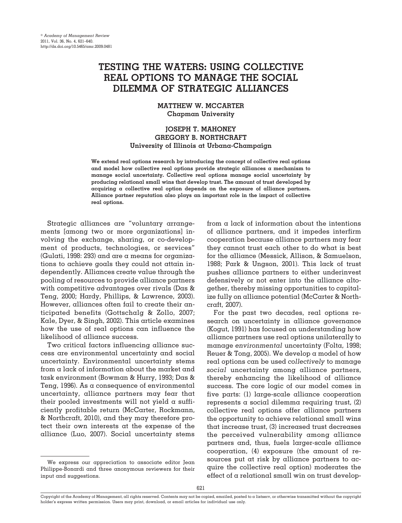### **TESTING THE WATERS: USING COLLECTIVE REAL OPTIONS TO MANAGE THE SOCIAL DILEMMA OF STRATEGIC ALLIANCES**

**MATTHEW W. MCCARTER Chapman University**

#### **JOSEPH T. MAHONEY GREGORY B. NORTHCRAFT University of Illinois at Urbana-Champaign**

**We extend real options research by introducing the concept of collective real options and model how collective real options provide strategic alliances a mechanism to manage social uncertainty. Collective real options manage social uncertainty by producing relational small wins that develop trust. The amount of trust developed by acquiring a collective real option depends on the exposure of alliance partners. Alliance partner reputation also plays an important role in the impact of collective real options.**

Strategic alliances are "voluntary arrangements [among two or more organizations] involving the exchange, sharing, or co-development of products, technologies, or services" (Gulati, 1998: 293) and are a means for organizations to achieve goals they could not attain independently. Alliances create value through the pooling of resources to provide alliance partners with competitive advantages over rivals (Das & Teng, 2000; Hardy, Phillips, & Lawrence, 2003). However, alliances often fail to create their anticipated benefits (Gottschalg & Zollo, 2007; Kale, Dyer, & Singh, 2002). This article examines how the use of real options can influence the likelihood of alliance success.

Two critical factors influencing alliance success are environmental uncertainty and social uncertainty. Environmental uncertainty stems from a lack of information about the market and task environment (Bowman & Hurry, 1993; Das & Teng, 1996). As a consequence of environmental uncertainty, alliance partners may fear that their pooled investments will not yield a sufficiently profitable return (McCarter, Rockmann, & Northcraft, 2010), and they may therefore protect their own interests at the expense of the alliance (Luo, 2007). Social uncertainty stems

We express our appreciation to associate editor Jean Philippe-Bonardi and three anonymous reviewers for their input and suggestions.

from a lack of information about the intentions of alliance partners, and it impedes interfirm cooperation because alliance partners may fear they cannot trust each other to do what is best for the alliance (Messick, Allison, & Samuelson, 1988; Park & Ungson, 2001). This lack of trust pushes alliance partners to either underinvest defensively or not enter into the alliance altogether, thereby missing opportunities to capitalize fully on alliance potential (McCarter & Northcraft, 2007).

For the past two decades, real options research on uncertainty in alliance governance (Kogut, 1991) has focused on understanding how alliance partners use real options unilaterally to manage *environmental* uncertainty (Folta, 1998; Reuer & Tong, 2005). We develop  $\alpha$  model of how real options can be used *collectively* to manage *social* uncertainty among alliance partners, thereby enhancing the likelihood of alliance success. The core logic of our model comes in five parts: (1) large-scale alliance cooperation represents a social dilemma requiring trust, (2) collective real options offer alliance partners the opportunity to achieve relational small wins that increase trust, (3) increased trust decreases the perceived vulnerability among alliance partners and, thus, fuels larger-scale alliance cooperation, (4) exposure (the amount of resources put at risk by alliance partners to acquire the collective real option) moderates the effect of a relational small win on trust develop-

Copyright of the Academy of Management, all rights reserved. Contents may not be copied, emailed, posted to a listserv, or otherwise transmitted without the copyright holder's express written permission. Users may print, download, or email articles for individual use only.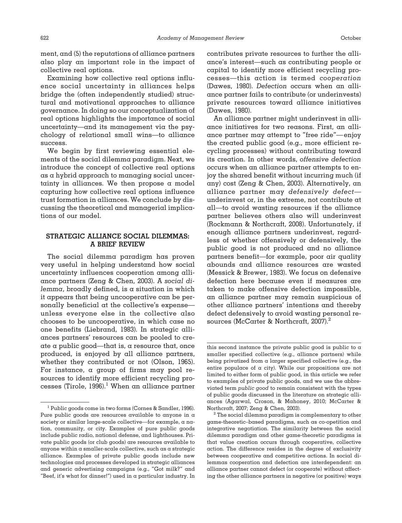ment, and (5) the reputations of alliance partners also play an important role in the impact of collective real options.

Examining how collective real options influence social uncertainty in alliances helps bridge the (often independently studied) structural and motivational approaches to alliance governance. In doing so our conceptualization of real options highlights the importance of social uncertainty—and its management via the psychology of relational small wins—to alliance success.

We begin by first reviewing essential elements of the social dilemma paradigm. Next, we introduce the concept of collective real options as a hybrid approach to managing social uncertainty in alliances. We then propose  $\alpha$  model capturing how collective real options influence trust formation in alliances. We conclude by discussing the theoretical and managerial implications of our model.

#### **STRATEGIC ALLIANCE SOCIAL DILEMMAS: A BRIEF REVIEW**

The social dilemma paradigm has proven very useful in helping understand how social uncertainty influences cooperation among alliance partners (Zeng & Chen, 2003). A *social dilemma*, broadly defined, is a situation in which it appears that being uncooperative can be personally beneficial at the collective's expense unless everyone else in the collective also chooses to be uncooperative, in which case no one benefits (Liebrand, 1983). In strategic alliances partners' resources can be pooled to create a public good—that is, a resource that, once produced, is enjoyed by all alliance partners, whether they contributed or not (Olson, 1965). For instance, a group of firms may pool resources to identify more efficient recycling processes (Tirole, 1996).<sup>1</sup> When an alliance partner contributes private resources to further the alliance's interest—such as contributing people or capital to identify more efficient recycling processes—this action is termed *cooperation* (Dawes, 1980). *Defection* occurs when an alliance partner fails to contribute (or underinvests) private resources toward alliance initiatives (Dawes, 1980).

An alliance partner might underinvest in alliance initiatives for two reasons. First, an alliance partner may attempt to "free ride"— enjoy the created public good (e.g., more efficient recycling processes) without contributing toward its creation. In other words, *offensive defection* occurs when an alliance partner attempts to enjoy the shared benefit without incurring much (if any) cost (Zeng & Chen, 2003). Alternatively, an alliance partner may *defensively defect* underinvest or, in the extreme, not contribute at all—to avoid wasting resources if the alliance partner believes others also will underinvest (Rockmann & Northcraft, 2008). Unfortunately, if enough alliance partners underinvest, regardless of whether offensively or defensively, the public good is not produced and no alliance partners benefit—for example, poor air quality abounds and alliance resources are wasted (Messick & Brewer, 1983). We focus on defensive defection here because even if measures are taken to make offensive defection impossible, an alliance partner may remain suspicious of other alliance partners' intentions and thereby defect defensively to avoid wasting personal resources (McCarter & Northcraft, 2007).<sup>2</sup>

<sup>1</sup> Public goods come in two forms (Cornes & Sandler, 1996). Pure public goods are resources available to anyone in a society or similar large-scale collective—for example, a nation, community, or city. Examples of pure public goods include public radio, national defense, and lighthouses. Private public goods (or club goods) are resources available to anyone within a smaller-scale collective, such as a strategic alliance. Examples of private public goods include new technologies and processes developed in strategic alliances and generic advertising campaigns (e.g., "Got milk?" and "Beef, it's what for dinner!") used in a particular industry. In

this second instance the private public good is public to  $\alpha$ smaller specified collective (e.g., alliance partners) while being privatized from a larger specified collective (e.g., the entire populace of a city). While our propositions are not limited to either form of public good, in this article we refer to examples of private public goods, and we use the abbreviated term *public good* to remain consistent with the types of public goods discussed in the literature on strategic alliances (Agarwal, Croson, & Mahoney, 2010; McCarter & Northcraft, 2007; Zeng & Chen, 2003).

 $2$  The social dilemma paradigm is complementary to other game-theoretic–based paradigms, such as co-opetition and integrative negotiation. The similarity between the social dilemma paradigm and other game-theoretic paradigms is that value creation occurs through cooperative, collective action. The difference resides in the degree of exclusivity between cooperative and competitive actions. In social dilemmas cooperation and defection are interdependent: an alliance partner cannot defect (or cooperate) without affecting the other alliance partners in negative (or positive) ways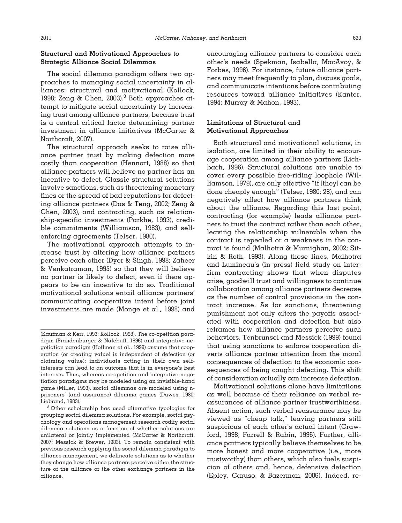#### **Structural and Motivational Approaches to Strategic Alliance Social Dilemmas**

The social dilemma paradigm offers two approaches to managing social uncertainty in alliances: structural and motivational (Kollock, 1998; Zeng & Chen, 2003).<sup>3</sup> Both approaches attempt to mitigate social uncertainty by increasing trust among alliance partners, because trust is a central critical factor determining partner investment in alliance initiatives (McCarter & Northcraft, 2007).

The structural approach seeks to raise alliance partner trust by making defection more costly than cooperation (Hennart, 1988) so that alliance partners will believe no partner has an incentive to defect. Classic structural solutions involve sanctions, such as threatening monetary fines or the spread of bad reputations for defecting alliance partners (Das & Teng, 2002; Zeng & Chen, 2003), and contracting, such as relationship-specific investments (Parkhe, 1993), credible commitments (Williamson, 1983), and selfenforcing agreements (Telser, 1980).

The motivational approach attempts to increase trust by altering how alliance partners perceive each other (Dyer & Singh, 1998; Zaheer & Venkatraman, 1995) so that they will believe no partner is likely to defect, even if there appears to be an incentive to do so. Traditional motivational solutions entail alliance partners' communicating cooperative intent before joint investments are made (Monge et al., 1998) and

encouraging alliance partners to consider each other's needs (Spekman, Isabella, MacAvoy, & Forbes, 1996). For instance, future alliance partners may meet frequently to plan, discuss goals, and communicate intentions before contributing resources toward alliance initiatives (Kanter, 1994; Murray & Mahon, 1993).

#### **Limitations of Structural and Motivational Approaches**

Both structural and motivational solutions, in isolation, are limited in their ability to encourage cooperation among alliance partners (Lichbach, 1996). Structural solutions are unable to cover every possible free-riding loophole (Williamson, 1979), are only effective "if [they] can be done cheaply enough" (Telser, 1980: 28), and can negatively affect how alliance partners think about the alliance. Regarding this last point, contracting (for example) leads alliance partners to trust the contract rather than each other, leaving the relationship vulnerable when the contract is repealed or a weakness in the contract is found (Malhotra & Murnighan, 2002; Sitkin & Roth, 1993). Along these lines, Malhotra and Lumineau's (in press) field study on interfirm contracting shows that when disputes arise, goodwill trust and willingness to continue collaboration among alliance partners decrease as the number of control provisions in the contract increase. As for sanctions, threatening punishment not only alters the payoffs associated with cooperation and defection but also reframes how alliance partners perceive such behaviors. Tenbrunsel and Messick (1999) found that using sanctions to enforce cooperation diverts alliance partner attention from the moral consequences of defection to the economic consequences of being caught defecting. This shift of consideration actually can increase defection.

Motivational solutions alone have limitations as well because of their reliance on verbal reassurances of alliance partner trustworthiness. Absent action, such verbal reassurance may be viewed as "cheap talk," leaving partners still suspicious of each other's actual intent (Crawford, 1998; Farrell & Rabin, 1996). Further, alliance partners typically believe themselves to be more honest and more cooperative (i.e., more trustworthy) than others, which also fuels suspicion of others and, hence, defensive defection (Epley, Caruso, & Bazerman, 2006). Indeed, re-

<sup>(</sup>Kaufman & Kerr, 1993; Kollock, 1998). The co-opetition paradigm (Brandenburger & Nalebuff, 1996) and integrative negotiation paradigm (Hoffman et al., 1999) assume that cooperation (or creating value) is independent of defection (or claiming value): individuals acting in their own selfinterests can lead to an outcome that is in everyone's best interests. Thus, whereas co-opetition and integrative negotiation paradigms may be modeled using an invisible-hand game (Miller, 1993), social dilemmas are modeled using nprisoners' (and assurance) dilemma games (Dawes, 1980; Liebrand, 1983).

 $3$  Other scholarship has used alternative typologies for grouping social dilemma solutions. For example, social psychology and operations management research codify social dilemma solutions as a function of whether solutions are unilateral or jointly implemented (McCarter & Northcraft, 2007; Messick & Brewer, 1983). To remain consistent with previous research applying the social dilemma paradigm to alliance management, we delineate solutions as to whether they change how alliance partners perceive either the structure of the alliance or the other exchange partners in the alliance.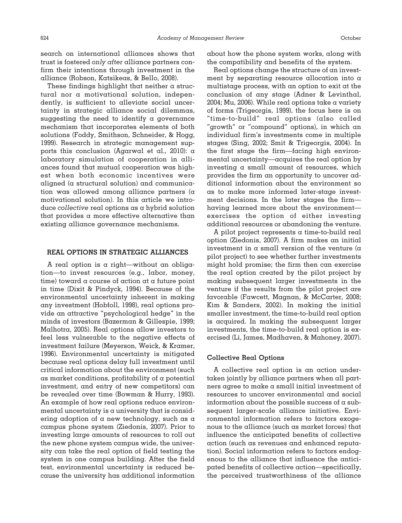search on international alliances shows that trust is fostered *only after* alliance partners confirm their intentions through investment in the alliance (Robson, Katsikeas, & Bello, 2008).

These findings highlight that neither  $\alpha$  structural nor a motivational solution, independently, is sufficient to alleviate social uncertainty in strategic alliance social dilemmas, suggesting the need to identify  $\alpha$  governance mechanism that incorporates elements of both solutions (Foddy, Smithson, Schneider, & Hogg, 1999). Research in strategic management supports this conclusion (Agarwal et al., 2010): a laboratory simulation of cooperation in alliances found that mutual cooperation was highest when both economic incentives were aligned (a structural solution) and communication was allowed among alliance partners (a motivational solution). In this article we introduce *collective* real options as a hybrid solution that provides a more effective alternative than existing alliance governance mechanisms.

#### **REAL OPTIONS IN STRATEGIC ALLIANCES**

A real option is a right—without an obligation—to invest resources (e.g., labor, money, time) toward a course of action at a future point in time (Dixit & Pindyck, 1994). Because of the environmental uncertainty inherent in making any investment (Hobfoll, 1998), real options provide an attractive "psychological hedge" in the minds of investors (Bazerman & Gillespie, 1999; Malhotra, 2005). Real options allow investors to feel less vulnerable to the negative effects of investment failure (Meyerson, Weick, & Kramer, 1996). Environmental uncertainty is mitigated because real options delay full investment until critical information about the environment (such as market conditions, profitability of a potential investment, and entry of new competitors) can be revealed over time (Bowman & Hurry, 1993). An example of how real options reduce environmental uncertainty is a university that is considering adoption of a new technology, such as a campus phone system (Ziedonis, 2007). Prior to investing large amounts of resources to roll out the new phone system campus wide, the university can take the real option of field testing the system in one campus building. After the field test, environmental uncertainty is reduced because the university has additional information

about how the phone system works, along with the compatibility and benefits of the system.

Real options change the structure of an investment by separating resource allocation into a multistage process, with an option to exit at the conclusion of any stage (Adner & Levinthal, 2004; Mu, 2006). While real options take a variety of forms (Trigeorgis, 1999), the focus here is on "time-to-build" real options (also called "growth" or "compound" options), in which an individual firm's investments come in multiple stages (Sing, 2002; Smit & Trigeorgis, 2004). In the first stage the firm—facing high environmental uncertainty—acquires the real option by investing  $\alpha$  small amount of resources, which provides the firm an opportunity to uncover additional information about the environment so as to make more informed later-stage investment decisions. In the later stages the firm having learned more about the environment exercises the option of either investing additional resources or abandoning the venture.

A pilot project represents a time-to-build real option (Ziedonis, 2007). A firm makes an initial investment in  $\alpha$  small version of the venture ( $\alpha$ pilot project) to see whether further investments might hold promise; the firm then can exercise the real option created by the pilot project by making subsequent larger investments in the venture if the results from the pilot project are favorable (Fawcett, Magnan, & McCarter, 2008; Kim & Sanders, 2002). In making the initial smaller investment, the time-to-build real option is acquired. In making the subsequent larger investments, the time-to-build real option is exercised (Li, James, Madhaven, & Mahoney, 2007).

#### **Collective Real Options**

A collective real option is an action undertaken jointly by alliance partners when all partners agree to make a small initial investment of resources to uncover environmental and social information about the possible success of  $\alpha$  subsequent larger-scale alliance initiative. Environmental information refers to factors exogenous to the alliance (such as market forces) that influence the anticipated benefits of collective action (such as revenues and enhanced reputation). Social information refers to factors endogenous to the alliance that influence the anticipated benefits of collective action—specifically, the perceived trustworthiness of the alliance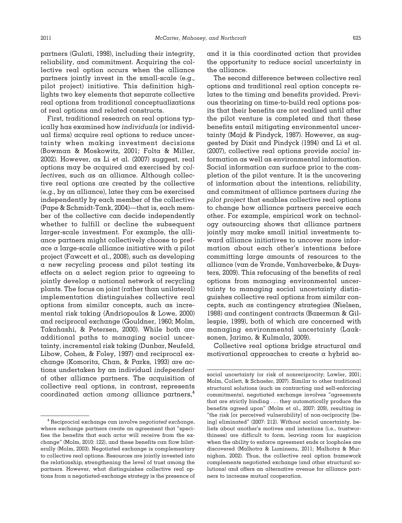partners (Gulati, 1998), including their integrity, reliability, and commitment. Acquiring the collective real option occurs when the alliance partners jointly invest in the small-scale (e.g., pilot project) initiative. This definition highlights two key elements that separate collective real options from traditional conceptualizations of real options and related constructs.

First, traditional research on real options typically has examined how *individuals* (or individual firms) acquire real options to reduce uncertainty when making investment decisions (Bowman & Moskowitz, 2001; Folta & Miller, 2002). However, as Li et al. (2007) suggest, real options may be acquired and exercised by *collectives*, such as an alliance. Although collective real options are created by the collective (e.g., by an alliance), later they can be exercised independently by each member of the collective (Pape & Schmidt-Tank, 2004)—that is, each member of the collective can decide independently whether to fulfill or decline the subsequent larger-scale investment. For example, the alliance partners might collectively choose to preface a large-scale alliance initiative with a pilot project (Fawcett et al., 2008), such as developing a new recycling process and pilot testing its effects on a select region prior to agreeing to jointly develop a national network of recycling plants. The focus on joint (rather than unilateral) implementation distinguishes collective real options from similar concepts, such as incremental risk taking (Andriopoulos & Lowe, 2000) and reciprocal exchange (Gouldner, 1960; Molm, Takahashi, & Petersen, 2000). While both are additional paths to managing social uncertainty, incremental risk taking (Dunbar, Neufeld, Libow, Cohen, & Foley, 1997) and reciprocal exchange (Komorita, Chan, & Parks, 1993) are actions undertaken by an individual *independent* of other alliance partners. The acquisition of collective real options, in contrast, represents coordinated action *among* alliance partners,<sup>4</sup>

and it is this coordinated action that provides the opportunity to reduce social uncertainty in the alliance.

The second difference between collective real options and traditional real option concepts relates to the timing and benefits provided. Previous theorizing on time-to-build real options posits that their benefits are not realized until after the pilot venture is completed and that these benefits entail mitigating environmental uncertainty (Majd & Pindyck, 1987). However, as suggested by Dixit and Pindyck (1994) and Li et al. (2007), collective real options provide *social* information as well as environmental information. Social information can surface prior to the completion of the pilot venture. It is the uncovering of information about the intentions, reliability, and commitment of alliance partners *during the pilot project* that enables collective real options to change how alliance partners perceive each other. For example, empirical work on technology outsourcing shows that alliance partners jointly may make small initial investments toward alliance initiatives to uncover more information about each other's intentions before committing large amounts of resources to the alliance (van de Vrande, Vanhaverbeke, & Duysters, 2009). This refocusing of the benefits of real options from managing environmental uncertainty to managing social uncertainty distinguishes collective real options from similar concepts, such as contingency strategies (Nielsen, 1988) and contingent contracts (Bazerman & Gillespie, 1999), both of which are concerned with managing environmental uncertainty (Laaksonen, Jarimo, & Kulmala, 2009).

Collective real options bridge structural and motivational approaches to create a hybrid so-

<sup>4</sup> Reciprocial exchange can involve *negotiated exchange*, where exchange partners create an agreement that "specifies the benefits that each actor will receive from the exchange" (Molm, 2010: 122), and these benefits can flow bilaterally (Molm, 2003). Negotiated exchange is complementary to collective real options. Resources are jointly invested into the relationship, strengthening the level of trust among the partners. However, what distinguishes collective real options from a negotiated-exchange strategy is the presence of

social uncertainty (or risk of nonreciprocity; Lawler, 2001; Molm, Collett, & Schaefer, 2007). Similar to other traditional structural solutions (such as contracting and self-enforcing commitments), negotiated exchange involves "agreements that are strictly binding . . . they automatically produce the benefits agreed upon" (Molm et al., 2007: 209), resulting in "the risk [or perceived vulnerability] of non-reciprocity [being] eliminated" (2007: 212). Without social uncertainty, beliefs about another's motives and intentions (i.e., trustworthiness) are difficult to form, leaving room for suspicion when the ability to enforce agreement ends or loopholes are discovered (Malhotra & Lumineau, 2011; Malhotra & Murnighan, 2002). Thus, the collective real option framework complements negotiated exchange (and other structural solutions) and offers an alternative avenue for alliance partners to increase mutual cooperation.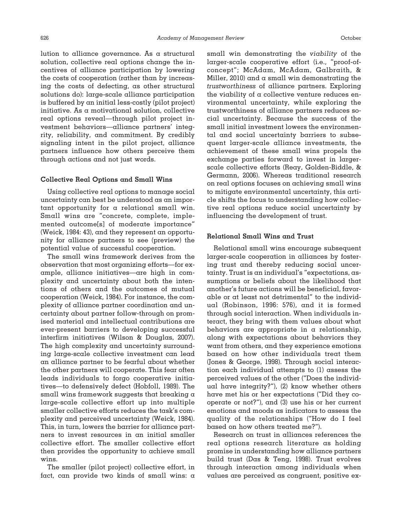lution to alliance governance. As a structural solution, collective real options change the incentives of alliance participation by lowering the costs of cooperation (rather than by increasing the costs of defecting, as other structural solutions do): large-scale alliance participation is buffered by an initial less-costly (pilot project) initiative. As a motivational solution, collective real options reveal—through pilot project investment behaviors—alliance partners' integrity, reliability, and commitment. By credibly signaling intent in the pilot project, alliance partners influence how others perceive them through actions and not just words.

#### **Collective Real Options and Small Wins**

Using collective real options to manage social uncertainty can best be understood as an important opportunity for a relational small win. Small wins are "concrete, complete, implemented outcome[s] of moderate importance" (Weick, 1984: 43), and they represent an opportunity for alliance partners to see (preview) the potential value of successful cooperation.

The small wins framework derives from the observation that most organizing efforts—for example, alliance initiatives—are high in complexity and uncertainty about both the intentions of others and the outcomes of mutual cooperation (Weick, 1984). For instance, the complexity of alliance partner coordination and uncertainty about partner follow-through on promised material and intellectual contributions are ever-present barriers to developing successful interfirm initiatives (Wilson & Douglas, 2007). The high complexity and uncertainty surrounding large-scale collective investment can lead an alliance partner to be fearful about whether the other partners will cooperate. This fear often leads individuals to forgo cooperative initiatives—to defensively defect (Hobfoll, 1989). The small wins framework suggests that breaking a large-scale collective effort up into multiple smaller collective efforts reduces the task's complexity and perceived uncertainty (Weick, 1984). This, in turn, lowers the barrier for alliance partners to invest resources in an initial smaller collective effort. The smaller collective effort then provides the opportunity to achieve small wins.

The smaller (pilot project) collective effort, in fact, can provide two kinds of small wins: a

small win demonstrating the *viability* of the larger-scale cooperative effort (i.e., "proof-ofconcept"; McAdam, McAdam, Galbraith, & Miller, 2010) and a small win demonstrating the *trustworthiness* of alliance partners. Exploring the viability of  $\alpha$  collective venture reduces environmental uncertainty, while exploring the trustworthiness of alliance partners reduces social uncertainty. Because the success of the small initial investment lowers the environmental and social uncertainty barriers to subsequent larger-scale alliance investments, the achievement of these small wins propels the exchange parties forward to invest in largerscale collective efforts (Reay, Golden-Biddle, & Germann, 2006). Whereas traditional research on real options focuses on achieving small wins to mitigate environmental uncertainty, this article shifts the focus to understanding how collective real options reduce social uncertainty by influencing the development of trust.

#### **Relational Small Wins and Trust**

Relational small wins encourage subsequent larger-scale cooperation in alliances by fostering trust and thereby reducing social uncertainty. Trust is an individual's "expectations, assumptions or beliefs about the likelihood that another's future actions will be beneficial, favorable or at least not detrimental" to the individual (Robinson, 1996: 576), and it is formed through social interaction. When individuals interact, they bring with them values about what behaviors are appropriate in a relationship, along with expectations about behaviors they want from others, and they experience emotions based on how other individuals treat them (Jones & George, 1998). Through social interaction each individual attempts to (1) assess the perceived values of the other ("Does the individual have integrity?"), (2) know whether others have met his or her expectations ("Did they cooperate or not?"), and (3) use his or her current emotions and moods as indicators to assess the quality of the relationships ("How do I feel based on how others treated me?").

Research on trust in alliances references the real options research literature as holding promise in understanding how alliance partners build trust (Das & Teng, 1998). Trust evolves through interaction among individuals when values are perceived as congruent, positive ex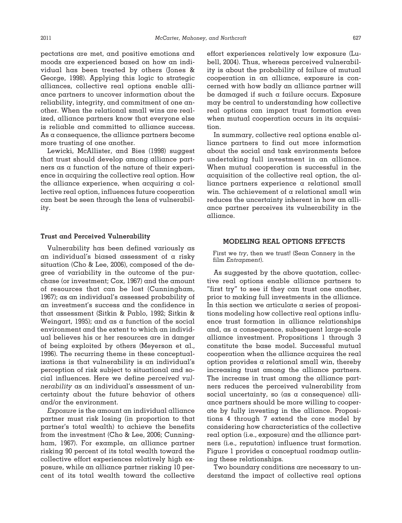pectations are met, and positive emotions and moods are experienced based on how an individual has been treated by others (Jones & George, 1998). Applying this logic to strategic alliances, collective real options enable alliance partners to uncover information about the reliability, integrity, and commitment of one another. When the relational small wins are realized, alliance partners know that everyone else is reliable and committed to alliance success. As a consequence, the alliance partners become more trusting of one another.

Lewicki, McAllister, and Bies (1998) suggest that trust should develop among alliance partners as a function of the nature of their experience in acquiring the collective real option. How the alliance experience, when acquiring a collective real option, influences future cooperation can best be seen through the lens of vulnerability.

#### **Trust and Perceived Vulnerability**

Vulnerability has been defined variously as an individual's biased assessment of a risky situation (Cho & Lee, 2006), composed of the degree of variability in the outcome of the purchase (or investment; Cox, 1967) and the amount of resources that can be lost (Cunningham, 1967); as an individual's assessed probability of an investment's success and the confidence in that assessment (Sitkin & Pablo, 1992; Sitkin & Weingart, 1995); and as a function of the social environment and the extent to which an individual believes his or her resources are in danger of being exploited by others (Meyerson et al., 1996). The recurring theme in these conceptualizations is that vulnerability is an individual's perception of risk subject to situational and social influences. Here we define *perceived vulnerability* as an individual's assessment of uncertainty about the future behavior of others and/or the environment.

*Exposure* is the amount an individual alliance partner must risk losing (in proportion to that partner's total wealth) to achieve the benefits from the investment (Cho & Lee, 2006; Cunningham, 1967). For example, an alliance partner risking 90 percent of its total wealth toward the collective effort experiences relatively high exposure, while an alliance partner risking 10 percent of its total wealth toward the collective

effort experiences relatively low exposure (Lubell, 2004). Thus, whereas perceived vulnerability is about the probability of failure of mutual cooperation in an alliance, exposure is concerned with how badly an alliance partner will be damaged if such a failure occurs. Exposure may be central to understanding how collective real options can impact trust formation even when mutual cooperation occurs in its acquisition.

In summary, collective real options enable alliance partners to find out more information about the social and task environments before undertaking full investment in an alliance. When mutual cooperation is successful in the acquisition of the collective real option, the alliance partners experience a relational small win. The achievement of a relational small win reduces the uncertainty inherent in how an alliance partner perceives its vulnerability in the alliance.

#### **MODELING REAL OPTIONS EFFECTS**

First we *try*, then we trust! (Sean Connery in the film *Entrapment*).

As suggested by the above quotation, collective real options enable alliance partners to "first try" to see if they can trust one another, prior to making full investments in the alliance. In this section we articulate a series of propositions modeling how collective real options influence trust formation in alliance relationships and, as a consequence, subsequent large-scale alliance investment. Propositions 1 through 3 constitute the base model. Successful mutual cooperation when the alliance acquires the real option provides a relational small win, thereby increasing trust among the alliance partners. The increase in trust among the alliance partners reduces the perceived vulnerability from social uncertainty, so (as a consequence) alliance partners should be more willing to cooperate by fully investing in the alliance. Propositions 4 through 7 extend the core model by considering how characteristics of the collective real option (i.e., exposure) and the alliance partners (i.e., reputation) influence trust formation. Figure 1 provides a conceptual roadmap outlining these relationships.

Two boundary conditions are necessary to understand the impact of collective real options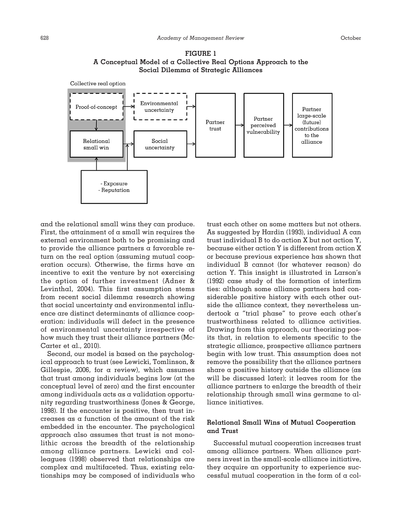



and the relational small wins they can produce. First, the attainment of  $\alpha$  small win requires the external environment both to be promising and to provide the alliance partners a favorable return on the real option (assuming mutual cooperation occurs). Otherwise, the firms have an incentive to exit the venture by not exercising the option of further investment (Adner & Levinthal, 2004). This first assumption stems from recent social dilemma research showing that social uncertainty and environmental influence are distinct determinants of alliance cooperation: individuals will defect in the presence of environmental uncertainty irrespective of how much they trust their alliance partners (Mc-Carter et al., 2010).

Second, our model is based on the psychological approach to trust (see Lewicki, Tomlinson, & Gillespie, 2006, for a review), which assumes that trust among individuals begins low (at the conceptual level of zero) and the first encounter among individuals acts as a validation opportunity regarding trustworthiness (Jones & George, 1998). If the encounter is positive, then trust increases as a function of the amount of the risk embedded in the encounter. The psychological approach also assumes that trust is not monolithic across the breadth of the relationship among alliance partners. Lewicki and colleagues (1998) observed that relationships are complex and multifaceted. Thus, existing relationships may be composed of individuals who

trust each other on some matters but not others. As suggested by Hardin (1993), individual A can trust individual B to do action X but not action Y, because either action Y is different from action X or because previous experience has shown that individual B cannot (for whatever reason) do action Y. This insight is illustrated in Larson's (1992) case study of the formation of interfirm ties: although some alliance partners had considerable positive history with each other outside the alliance context, they nevertheless undertook a "trial phase" to prove each other's trustworthiness related to alliance activities. Drawing from this approach, our theorizing posits that, in relation to elements specific to the strategic alliance, prospective alliance partners begin with low trust. This assumption does not remove the possibility that the alliance partners share a positive history outside the alliance (as will be discussed later); it leaves room for the alliance partners to enlarge the breadth of their relationship through small wins germane to alliance initiatives.

#### **Relational Small Wins of Mutual Cooperation and Trust**

Successful mutual cooperation increases trust among alliance partners. When alliance partners invest in the small-scale alliance initiative, they acquire an opportunity to experience successful mutual cooperation in the form of a col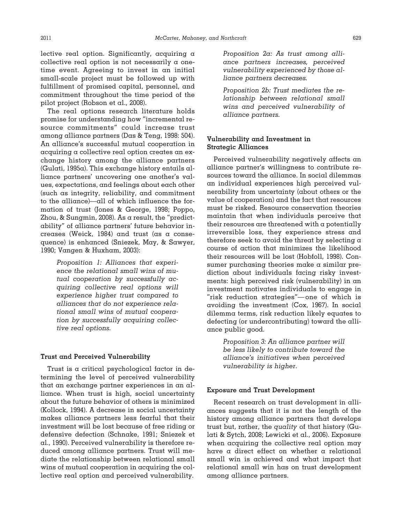lective real option. Significantly, acquiring a collective real option is not necessarily a onetime event. Agreeing to invest in an initial small-scale project must be followed up with fulfillment of promised capital, personnel, and commitment throughout the time period of the pilot project (Robson et al., 2008).

The real options research literature holds promise for understanding how "incremental resource commitments" could increase trust among alliance partners (Das & Teng, 1998: 504). An alliance's successful mutual cooperation in acquiring a collective real option creates an exchange history among the alliance partners (Gulati, 1995a). This exchange history entails alliance partners' uncovering one another's values, expectations, and feelings about each other (such as integrity, reliability, and commitment to the alliance)—all of which influence the formation of trust (Jones & George, 1998; Poppo, Zhou,  $&$  Sungmin, 2008). As  $\alpha$  result, the "predictability" of alliance partners' future behavior increases (Weick, 1984) and trust (as a consequence) is enhanced (Sniezek, May, & Sawyer, 1990; Vangen & Huxham, 2003):

> *Proposition 1: Alliances that experience the relational small wins of mutual cooperation by successfully acquiring collective real options will experience higher trust compared to alliances that do not experience relational small wins of mutual cooperation by successfully acquiring collective real options.*

#### **Trust and Perceived Vulnerability**

Trust is a critical psychological factor in determining the level of perceived vulnerability that an exchange partner experiences in an alliance. When trust is high, social uncertainty about the future behavior of others is minimized (Kollock, 1994). A decrease in social uncertainty makes alliance partners less fearful that their investment will be lost because of free riding or defensive defection (Schnake, 1991; Sniezek et al., 1990). Perceived vulnerability is therefore reduced among alliance partners. Trust will mediate the relationship between relational small wins of mutual cooperation in acquiring the collective real option and perceived vulnerability.

*Proposition 2a: As trust among alliance partners increases, perceived vulnerability experienced by those alliance partners decreases.*

*Proposition 2b: Trust mediates the relationship between relational small wins and perceived vulnerability of alliance partners.*

#### **Vulnerability and Investment in Strategic Alliances**

Perceived vulnerability negatively affects an alliance partner's willingness to contribute resources toward the alliance. In social dilemmas an individual experiences high perceived vulnerability from uncertainty (about others or the value of cooperation) and the fact that resources must be risked. Resource conservation theories maintain that when individuals perceive that their resources are threatened with a potentially irreversible loss, they experience stress and therefore seek to avoid the threat by selecting a course of action that minimizes the likelihood their resources will be lost (Hobfoll, 1998). Consumer purchasing theories make a similar prediction about individuals facing risky investments: high perceived risk (vulnerability) in an investment motivates individuals to engage in "risk reduction strategies"— one of which is avoiding the investment (Cox, 1967). In social dilemma terms, risk reduction likely equates to defecting (or undercontributing) toward the alliance public good.

> *Proposition 3: An alliance partner will be less likely to contribute toward the alliance's initiatives when perceived vulnerability is higher.*

#### **Exposure and Trust Development**

Recent research on trust development in alliances suggests that it is not the length of the history among alliance partners that develops trust but, rather, the *quality* of that history (Gulati & Sytch, 2008; Lewicki et al., 2006). Exposure when acquiring the collective real option may have a direct effect on whether a relational small win is achieved and what impact that relational small win has on trust development among alliance partners.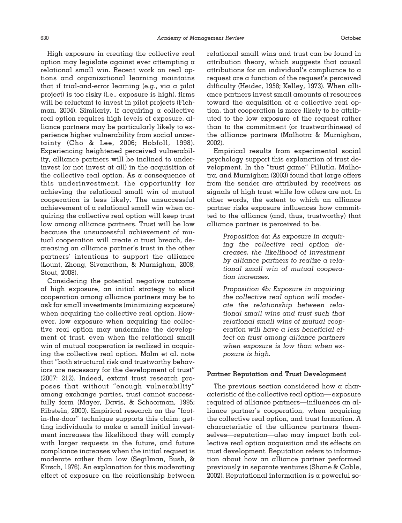High exposure in creating the collective real option may legislate against ever attempting a relational small win. Recent work on real options and organizational learning maintains that if trial-and-error learning (e.g., via a pilot project) is too risky (i.e., exposure is high), firms will be reluctant to invest in pilot projects (Fichman, 2004). Similarly, if acquiring a collective real option requires high levels of exposure, alliance partners may be particularly likely to experience higher vulnerability from social uncertainty (Cho & Lee, 2006; Hobfoll, 1998). Experiencing heightened perceived vulnerability, alliance partners will be inclined to underinvest (or not invest at all) in the acquisition of the collective real option. As a consequence of this underinvestment, the opportunity for achieving the relational small win of mutual cooperation is less likely. The unsuccessful achievement of a relational small win when acquiring the collective real option will keep trust low among alliance partners. Trust will be low because the unsuccessful achievement of mutual cooperation will create a trust breach, decreasing an alliance partner's trust in the other partners' intentions to support the alliance (Lount, Zhong, Sivanathan, & Murnighan, 2008; Stout, 2008).

Considering the potential negative outcome of high exposure, an initial strategy to elicit cooperation among alliance partners may be to ask for small investments (minimizing exposure) when acquiring the collective real option. However, low exposure when acquiring the collective real option may undermine the development of trust, even when the relational small win of mutual cooperation is realized in acquiring the collective real option. Molm et al. note that "both structural risk and trustworthy behaviors are necessary for the development of trust" (2007: 212). Indeed, extant trust research proposes that without "enough vulnerability" among exchange parties, trust cannot successfully form (Mayer, Davis, & Schoorman, 1995; Ribstein, 2000). Empirical research on the "footin-the-door" technique supports this claim: getting individuals to make a small initial investment increases the likelihood they will comply with larger requests in the future, and future compliance increases when the initial request is moderate rather than low (Segilman, Bush, & Kirsch, 1976). An explanation for this moderating effect of exposure on the relationship between

relational small wins and trust can be found in attribution theory, which suggests that causal attributions for an individual's compliance to a request are a function of the request's perceived difficulty (Heider, 1958; Kelley, 1973). When alliance partners invest small amounts of resources toward the acquisition of a collective real option, that cooperation is more likely to be attributed to the low exposure of the request rather than to the commitment (or trustworthiness) of the alliance partners (Malhotra & Murnighan, 2002).

Empirical results from experimental social psychology support this explanation of trust development. In the "trust game" Pillutla, Malhotra, and Murnighan (2003) found that large offers from the sender are attributed by receivers as signals of high trust while low offers are not. In other words, the extent to which an alliance partner risks exposure influences how committed to the alliance (and, thus, trustworthy) that alliance partner is perceived to be.

> *Proposition 4a: As exposure in acquiring the collective real option decreases, the likelihood of investment by alliance partners to realize a relational small win of mutual cooperation increases.*

> *Proposition 4b: Exposure in acquiring the collective real option will moderate the relationship between relational small wins and trust such that relational small wins of mutual cooperation will have a less beneficial effect on trust among alliance partners when exposure is low than when exposure is high.*

#### **Partner Reputation and Trust Development**

The previous section considered how a characteristic of the collective real option— exposure required of alliance partners—influences an alliance partner's cooperation, when acquiring the collective real option, and trust formation. A characteristic of the alliance partners themselves—reputation—also may impact both collective real option acquisition and its effects on trust development. Reputation refers to information about how an alliance partner performed previously in separate ventures (Shane & Cable, 2002). Reputational information is a powerful so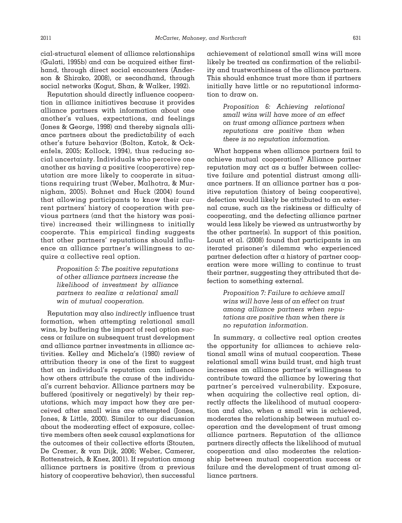cial-structural element of alliance relationships (Gulati, 1995b) and can be acquired either firsthand, through direct social encounters (Anderson & Shirako, 2008), or secondhand, through social networks (Kogut, Shan, & Walker, 1992).

Reputation should directly influence cooperation in alliance initiatives because it provides alliance partners with information about one another's values, expectations, and feelings (Jones & George, 1998) and thereby signals alliance partners about the predictability of each other's future behavior (Bolton, Katok, & Ockenfels, 2005; Kollock, 1994), thus reducing social uncertainty. Individuals who perceive one another as having a positive (cooperative) reputation are more likely to cooperate in situations requiring trust (Weber, Malhotra, & Murnighan, 2005). Bohnet and Huck (2004) found that allowing participants to know their current partners' history of cooperation with previous partners (and that the history was positive) increased their willingness to initially cooperate. This empirical finding suggests that other partners' reputations should influence an alliance partner's willingness to acquire a collective real option.

> *Proposition 5: The positive reputations of other alliance partners increase the likelihood of investment by alliance partners to realize a relational small win of mutual cooperation.*

Reputation may also *indirectly* influence trust formation, when attempting relational small wins, by buffering the impact of real option success or failure on subsequent trust development and alliance partner investments in alliance activities. Kelley and Michela's (1980) review of attribution theory is one of the first to suggest that an individual's reputation can influence how others attribute the cause of the individual's current behavior. Alliance partners may be buffered (positively or negatively) by their reputations, which may impact how they are perceived after small wins are attempted (Jones, Jones, & Little, 2000). Similar to our discussion about the moderating effect of exposure, collective members often seek causal explanations for the outcomes of their collective efforts (Stouten, De Cremer, & van Dijk, 2006; Weber, Camerer, Rottenstreich, & Knez, 2001). If reputation among alliance partners is positive (from a previous history of cooperative behavior), then successful

achievement of relational small wins will more likely be treated as confirmation of the reliability and trustworthiness of the alliance partners. This should enhance trust more than if partners initially have little or no reputational information to draw on.

> *Proposition 6: Achieving relational small wins will have more of an effect on trust among alliance partners when reputations are positive than when there is no reputation information.*

What happens when alliance partners fail to achieve mutual cooperation? Alliance partner reputation may act as a buffer between collective failure and potential distrust among alliance partners. If an alliance partner has a positive reputation (history of being cooperative), defection would likely be attributed to an external cause, such as the riskiness or difficulty of cooperating, and the defecting alliance partner would less likely be viewed as untrustworthy by the other partner(s). In support of this position, Lount et al. (2008) found that participants in an iterated prisoner's dilemma who experienced partner defection after a history of partner cooperation were more willing to continue to trust their partner, suggesting they attributed that defection to something external.

> *Proposition 7: Failure to achieve small wins will have less of an effect on trust among alliance partners when reputations are positive than when there is no reputation information.*

In summary, a collective real option creates the opportunity for alliances to achieve relational small wins of mutual cooperation. These relational small wins build trust, and high trust increases an alliance partner's willingness to contribute toward the alliance by lowering that partner's perceived vulnerability. Exposure, when acquiring the collective real option, directly affects the likelihood of mutual cooperation and also, when a small win is achieved, moderates the relationship between mutual cooperation and the development of trust among alliance partners. Reputation of the alliance partners directly affects the likelihood of mutual cooperation and also moderates the relationship between mutual cooperation success or failure and the development of trust among alliance partners.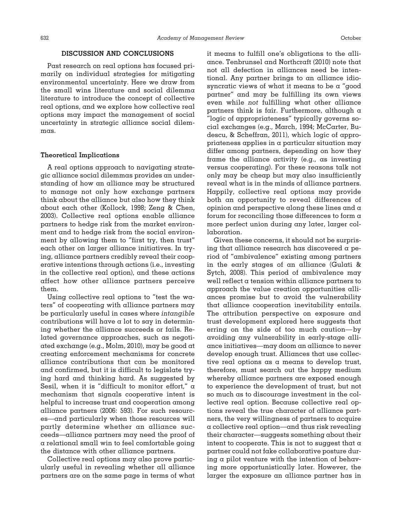#### **DISCUSSION AND CONCLUSIONS**

Past research on real options has focused primarily on individual strategies for mitigating environmental uncertainty. Here we draw from the small wins literature and social dilemma literature to introduce the concept of collective real options, and we explore how collective real options may impact the management of social uncertainty in strategic alliance social dilemmas.

#### **Theoretical Implications**

A real options approach to navigating strategic alliance social dilemmas provides an understanding of how an alliance may be structured to manage not only how exchange partners think about the alliance but also how they think about each other (Kollock, 1998; Zeng & Chen, 2003). Collective real options enable alliance partners to hedge risk from the market environment and to hedge risk from the social environment by allowing them to "first try, then trust" each other on larger alliance initiatives. In trying, alliance partners credibly reveal their cooperative intentions through actions (i.e., investing in the collective real option), and these actions affect how other alliance partners perceive them.

Using collective real options to "test the waters" of cooperating with alliance partners may be particularly useful in cases where *intangible* contributions will have  $\alpha$  lot to say in determining whether the alliance succeeds or fails. Related governance approaches, such as negotiated exchange (e.g., Molm, 2010), may be good at creating enforcement mechanisms for concrete alliance contributions that can be monitored and confirmed, but it is difficult to legislate trying hard and thinking hard. As suggested by Sesil, when it is "difficult to monitor effort,"  $\alpha$ mechanism that signals cooperative intent is helpful to increase trust and cooperation among alliance partners (2006: 593). For such resources—and particularly when those resources will partly determine whether an alliance succeeds—alliance partners may need the proof of a relational small win to feel comfortable going the distance with other alliance partners.

Collective real options may also prove particularly useful in revealing whether all alliance partners are on the same page in terms of what

it means to fulfill one's obligations to the alliance. Tenbrunsel and Northcraft (2010) note that not all defection in alliances need be intentional. Any partner brings to an alliance idiosyncratic views of what it means to be a "good partner" and may be fulfilling its own views even while *not* fulfilling what other alliance partners think is fair. Furthermore, although a "logic of appropriateness" typically governs social exchanges (e.g., March, 1994; McCarter, Budescu, & Scheffran, 2011), which logic of appropriateness applies in a particular situation may differ among partners, depending on how they frame the alliance activity (e.g., as investing versus cooperating). For these reasons talk not only may be cheap but may also insufficiently reveal what is in the minds of alliance partners. Happily, collective real options may provide both an opportunity to reveal differences of opinion and perspective along these lines and a forum for reconciling those differences to form a more perfect union during any later, larger collaboration.

Given these concerns, it should not be surprising that alliance research has discovered a period of "ambivalence" existing among partners in the early stages of an alliance (Gulati & Sytch, 2008). This period of ambivalence may well reflect a tension within alliance partners to approach the value creation opportunities alliances promise but to avoid the vulnerability that alliance cooperation inevitability entails. The attribution perspective on exposure and trust development explored here suggests that erring on the side of too much caution—by avoiding any vulnerability in early-stage alliance initiatives—may doom an alliance to never develop enough trust. Alliances that use collective real options as a means to develop trust, therefore, must search out the happy medium whereby alliance partners are exposed enough to experience the development of trust, but not so much as to discourage investment in the collective real option. Because collective real options reveal the true character of alliance partners, the very willingness of partners to acquire a collective real option—and thus risk revealing their character—suggests something about their intent to cooperate. This is not to suggest that  $\alpha$ partner could not fake collaborative posture during  $\alpha$  pilot venture with the intention of behaving more opportunistically later. However, the larger the exposure an alliance partner has in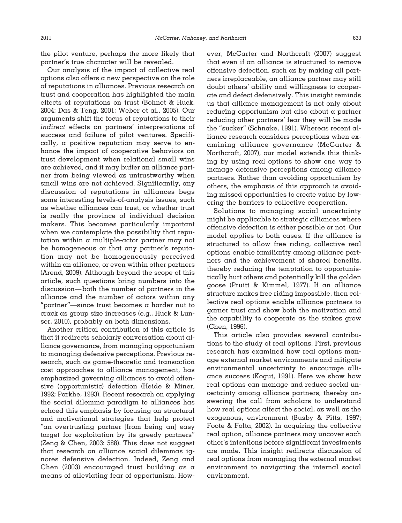the pilot venture, perhaps the more likely that partner's true character will be revealed.

Our analysis of the impact of collective real options also offers a new perspective on the role of reputations in alliances. Previous research on trust and cooperation has highlighted the main effects of reputations on trust (Bohnet & Huck, 2004; Das & Teng, 2001; Weber et al., 2005). Our arguments shift the focus of reputations to their *indirect* effects on partners' interpretations of success and failure of pilot ventures. Specifically, a positive reputation may serve to enhance the impact of cooperative behaviors on trust development when relational small wins are achieved, and it may buffer an alliance partner from being viewed as untrustworthy when small wins are not achieved. Significantly, any discussion of reputations in alliances begs some interesting levels-of-analysis issues, such as whether alliances can trust, or whether trust is really the province of individual decision makers. This becomes particularly important when we contemplate the possibility that reputation within a multiple-actor partner may not be homogeneous or that any partner's reputation may not be homogeneously perceived within an alliance, or even within other partners (Arend, 2009). Although beyond the scope of this article, such questions bring numbers into the discussion—both the number of partners in the alliance and the number of actors within any "partner"—since trust becomes a harder nut to crack as group size increases (e.g., Huck & Lunser, 2010), probably on both dimensions.

Another critical contribution of this article is that it redirects scholarly conversation about alliance governance, from managing opportunism to managing defensive perceptions. Previous research, such as game-theoretic and transaction cost approaches to alliance management, has emphasized governing alliances to avoid offensive (opportunistic) defection (Heide & Miner, 1992; Parkhe, 1993). Recent research on applying the social dilemma paradigm to alliances has echoed this emphasis by focusing on structural and motivational strategies that help protect "an overtrusting partner [from being an] easy target for exploitation by its greedy partners" (Zeng & Chen, 2003: 588). This does not suggest that research on alliance social dilemmas ignores defensive defection. Indeed, Zeng and Chen (2003) encouraged trust building as a means of alleviating fear of opportunism. However, McCarter and Northcraft (2007) suggest that even if an alliance is structured to remove offensive defection, such as by making all partners irreplaceable, an alliance partner may still doubt others' ability and willingness to cooperate and defect defensively. This insight reminds us that alliance management is not only about reducing opportunism but also about a partner reducing other partners' fear they will be made the "sucker" (Schnake, 1991). Whereas recent alliance research considers perceptions when examining alliance governance (McCarter & Northcraft, 2007), our model extends this thinking by using real options to show one way to manage defensive perceptions among alliance partners. Rather than avoiding opportunism by others, the emphasis of this approach is avoiding missed opportunities to create value by lowering the barriers to collective cooperation.

Solutions to managing social uncertainty might be applicable to strategic alliances where offensive defection is either possible or not. Our model applies to both cases. If the alliance is structured to allow free riding, collective real options enable familiarity among alliance partners and the achievement of shared benefits, thereby reducing the temptation to opportunistically hurt others and potentially kill the golden goose (Pruitt & Kimmel, 1977). If an alliance structure makes free riding impossible, then collective real options enable alliance partners to garner trust and show both the motivation and the capability to cooperate as the stakes grow (Chen, 1996).

This article also provides several contributions to the study of real options. First, previous research has examined how real options manage external market environments and mitigate environmental uncertainty to encourage alliance success (Kogut, 1991). Here we show how real options can manage and reduce social uncertainty among alliance partners, thereby answering the call from scholars to understand how real options affect the social, as well as the exogenous, environment (Busby & Pitts, 1997; Foote & Folta, 2002). In acquiring the collective real option, alliance partners may uncover each other's intentions before significant investments are made. This insight redirects discussion of real options from managing the external market environment to navigating the internal social environment.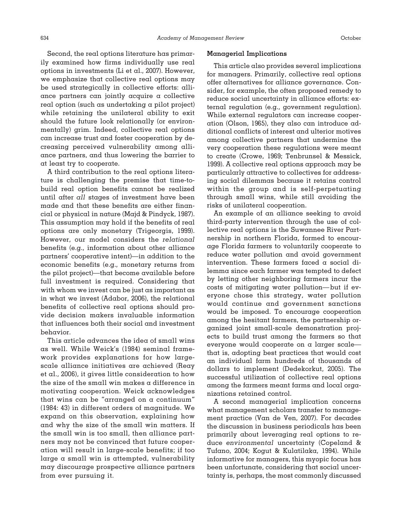Second, the real options literature has primarily examined how firms individually use real options in investments (Li et al., 2007). However, we emphasize that collective real options may be used strategically in collective efforts: alliance partners can jointly acquire a collective real option (such as undertaking a pilot project) while retaining the unilateral ability to exit should the future look relationally (or environmentally) grim. Indeed, collective real options can increase trust and foster cooperation by decreasing perceived vulnerability among alliance partners, and thus lowering the barrier to at least try to cooperate.

A third contribution to the real options literature is challenging the premise that time-tobuild real option benefits cannot be realized until after *all* stages of investment have been made and that these benefits are either financial or physical in nature (Majd & Pindyck, 1987). This assumption may hold if the benefits of real options are only monetary (Trigeorgis, 1999). However, our model considers the *relational* benefits (e.g., information about other alliance partners' cooperative intent)—in addition to the economic benefits (e.g., monetary returns from the pilot project)—that become available before full investment is required. Considering that with whom we invest can be just as important as in what we invest (Adabor, 2006), the relational benefits of collective real options should provide decision makers invaluable information that influences both their social and investment behavior.

This article advances the idea of small wins as well. While Weick's (1984) seminal framework provides explanations for how largescale alliance initiatives are achieved (Reay et al., 2006), it gives little consideration to how the size of the small win makes a difference in motivating cooperation. Weick acknowledges that wins can be "arranged on a continuum" (1984: 43) in different orders of magnitude. We expand on this observation, explaining how and why the size of the small win matters. If the small win is too small, then alliance partners may not be convinced that future cooperation will result in large-scale benefits; if too large a small win is attempted, vulnerability may discourage prospective alliance partners from ever pursuing it.

#### **Managerial Implications**

This article also provides several implications for managers. Primarily, collective real options offer alternatives for alliance governance. Consider, for example, the often proposed remedy to reduce social uncertainty in alliance efforts: external regulation (e.g., government regulation). While external regulators can increase cooperation (Olson, 1965), they also can introduce additional conflicts of interest and ulterior motives among collective partners that undermine the very cooperation these regulations were meant to create (Crowe, 1969; Tenbrunsel & Messick, 1999). A collective real options approach may be particularly attractive to collectives for addressing social dilemmas because it retains control within the group and is self-perpetuating through small wins, while still avoiding the risks of unilateral cooperation.

An example of an alliance seeking to avoid third-party intervention through the use of collective real options is the Suwannee River Partnership in northern Florida, formed to encourage Florida farmers to voluntarily cooperate to reduce water pollution and avoid government intervention. These farmers faced a social dilemma since each farmer was tempted to defect by letting other neighboring farmers incur the costs of mitigating water pollution—but if everyone chose this strategy, water pollution would continue and government sanctions would be imposed. To encourage cooperation among the hesitant farmers, the partnership organized joint small-scale demonstration projects to build trust among the farmers so that everyone would cooperate on a larger scale that is, adopting best practices that would cost an individual farm hundreds of thousands of dollars to implement (Dedekorkut, 2005). The successful utilization of collective real options among the farmers meant farms and local organizations retained control.

A second managerial implication concerns what management scholars transfer to management practice (Van de Ven, 2007). For decades the discussion in business periodicals has been primarily about leveraging real options to reduce *environmental* uncertainty (Copeland & Tufano, 2004; Kogut & Kulatilaka, 1994). While informative for managers, this myopic focus has been unfortunate, considering that social uncertainty is, perhaps, the most commonly discussed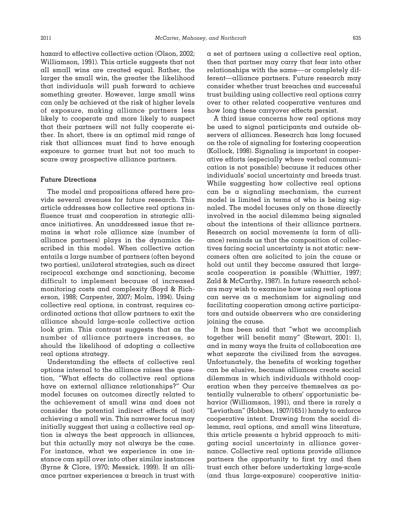hazard to effective collective action (Olson, 2002; Williamson, 1991). This article suggests that not all small wins are created equal. Rather, the larger the small win, the greater the likelihood that individuals will push forward to achieve something greater. However, large small wins can only be achieved at the risk of higher levels of exposure, making alliance partners less likely to cooperate and more likely to suspect that their partners will not fully cooperate either. In short, there is an optimal mid range of risk that alliances must find to have enough exposure to garner trust but not too much to scare away prospective alliance partners.

#### **Future Directions**

The model and propositions offered here provide several avenues for future research. This article addresses how collective real options influence trust and cooperation in strategic alliance initiatives. An unaddressed issue that remains is what role alliance size (number of alliance partners) plays in the dynamics described in this model. When collective action entails a large number of partners (often beyond two parties), unilateral strategies, such as direct reciprocal exchange and sanctioning, become difficult to implement because of increased monitoring costs and complexity (Boyd & Richerson, 1988; Carpenter, 2007; Molm, 1994). Using collective real options, in contrast, requires coordinated actions that allow partners to exit the alliance should large-scale collective action look grim. This contrast suggests that as the number of alliance partners increases, so should the likelihood of adopting a collective real options strategy.

Understanding the effects of collective real options internal to the alliance raises the question, "What effects do collective real options have on external alliance relationships?" Our model focuses on outcomes directly related to the achievement of small wins and does not consider the potential indirect effects of (not) achieving a small win. This narrower focus may initially suggest that using a collective real option is always the best approach in alliances, but this actually may not always be the case. For instance, what we experience in one instance can spill over into other similar instances (Byrne & Clore, 1970; Messick, 1999). If an alliance partner experiences a breach in trust with

a set of partners using a collective real option, then that partner may carry that fear into other relationships with the same— or completely different—alliance partners. Future research may consider whether trust breaches and successful trust building using collective real options carry over to other related cooperative ventures and how long these carryover effects persist.

A third issue concerns how real options may be used to signal participants and outside observers of alliances. Research has long focused on the role of signaling for fostering cooperation (Kollock, 1998). Signaling is important in cooperative efforts (especially where verbal communication is not possible) because it reduces other individuals' social uncertainty and breeds trust. While suggesting how collective real options can be a signaling mechanism, the current model is limited in terms of who is being signaled. The model focuses only on those directly involved in the social dilemma being signaled about the intentions of their alliance partners. Research on social movements (a form of alliance) reminds us that the composition of collectives facing social uncertainty is not static: newcomers often are solicited to join the cause or hold out until they become assured that largescale cooperation is possible (Whittier, 1997; Zald & McCarthy, 1987). In future research scholars may wish to examine how using real options can serve as a mechanism for signaling and facilitating cooperation among active participators and outside observers who are considering joining the cause.

It has been said that "what we accomplish together will benefit many" (Stewart, 2001: 1), and in many ways the fruits of collaboration are what separate the civilized from the savages. Unfortunately, the benefits of working together can be elusive, because alliances create social dilemmas in which individuals withhold cooperation when they perceive themselves as potentially vulnerable to others' opportunistic behavior (Williamson, 1991), and there is rarely a "Leviathan" (Hobbes, 1907/1651) handy to enforce cooperative intent. Drawing from the social dilemma, real options, and small wins literature, this article presents a hybrid approach to mitigating social uncertainty in alliance governance. Collective real options provide alliance partners the opportunity to first try and then trust each other before undertaking large-scale (and thus large-exposure) cooperative initia-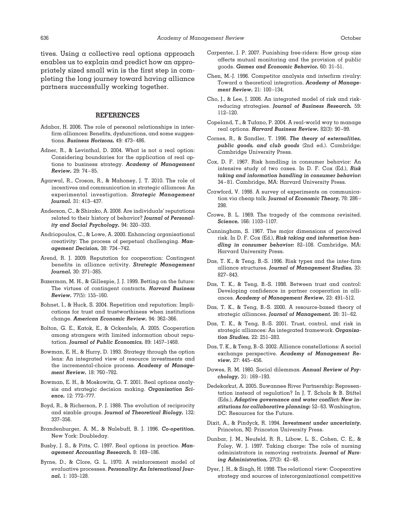#### **REFERENCES**

partners successfully working together.

- Adabor, H. 2006. The role of personal relationships in interfirm alliances: Benefits, dysfunctions, and some suggestions. *Business Horizons,* 49: 473– 486.
- Adner, R., & Levinthal, D. 2004. What is not a real option: Considering boundaries for the application of real options to business strategy. *Academy of Management Review,* 29: 74 – 85.
- Agarwal, R., Croson, R., & Mahoney, J. T. 2010. The role of incentives and communication in strategic alliances: An experimental investigation. *Strategic Management Journal,* 31: 413– 437.
- Anderson, C., & Shirako, A. 2008. Are individuals' reputations related to their history of behavior? *Journal of Personality and Social Psychology,* 94: 320 –333.
- Andriopoulos, C., & Lowe, A. 2000. Enhancing organisational creativity: The process of perpetual challenging. *Management Decision,* 38: 734 –742.
- Arend, R. J. 2009. Reputation for cooperation: Contingent benefits in alliance activity. *Strategic Management Journal,* 30: 371–385.
- Bazerman, M. H., & Gillespie, J. J. 1999. Betting on the future: The virtues of contingent contracts. *Harvard Business Review,* 77(5): 155–160.
- Bohnet, I., & Huck, S. 2004. Repetition and reputation: Implications for trust and trustworthiness when institutions change. *American Economic Review,* 94: 362–366.
- Bolton, G. E., Katok, E., & Ockenfels, A. 2005. Cooperation among strangers with limited information about reputation. *Journal of Public Economics,* 89: 1457–1468.
- Bowman, E. H., & Hurry, D. 1993. Strategy through the option lens: An integrated view of resource investments and the incremental-choice process. *Academy of Management Review,* 18: 760 –782.
- Bowman, E. H., & Moskowitz, G. T. 2001. Real options analysis and strategic decision making. *Organization Science,* 12: 772–777.
- Boyd, R., & Richerson, P. J. 1988. The evolution of reciprocity and sizable groups. *Journal of Theoretical Biology,* 132: 337–356.
- Brandenburger, A. M., & Nalebuff, B. J. 1996. *Co-opetition.* New York: Doubleday.
- Busby, J. S., & Pitts, C. 1997. Real options in practice. *Management Accounting Research,* 8: 169 –186.
- Byrne, D., & Clore, G. L. 1970. A reinforcement model of evaluative processes. *Personality: An International Journal,* 1: 103–128.
- Carpenter, J. P. 2007. Punishing free-riders: How group size affects mutual monitoring and the provision of public goods. *Games and Economic Behavior,* 60: 31–51.
- Chen, M.-J. 1996. Competitor analysis and interfirm rivalry: Toward a theoretical integration. *Academy of Management Review,* 21: 100 –134.
- Cho, J., & Lee, J. 2006. An integrated model of risk and riskreducing strategies. *Journal of Business Research,* 59: 112–120.
- Copeland, T., & Tufano, P. 2004. A real-world way to manage real options. *Harvard Business Review,* 82(3): 90 –99.
- Cornes, R., & Sandler, T. 1996. *The theory of externalities, public goods, and club goods* (2nd ed.). Cambridge: Cambridge University Press.
- Cox, D. F. 1967. Risk handling in consumer behavior: An intensive study of two cases. In D. F. Cox (Ed.), *Risk taking and information handling in consumer behavior:* 34 – 81. Cambridge, MA: Harvard University Press.
- Crawford, V. 1998. A survey of experiments on communication via cheap talk. *Journal of Economic Theory,* 78: 286 – 298.
- Crowe, B. L. 1969. The tragedy of the commons revisited. *Science,* 166: 1103–1107.
- Cunningham, S. 1967. The major dimensions of perceived risk. In D. F. Cox (Ed.), *Risk taking and information handling in consumer behavior:* 82–108. Cambridge, MA: Harvard University Press.
- Das, T. K., & Teng, B.-S. 1996. Risk types and the inter-firm alliance structures. *Journal of Management Studies,* 33: 827– 843.
- Das, T. K., & Teng, B.-S. 1998. Between trust and control: Developing confidence in partner cooperation in alliances. *Academy of Management Review,* 23: 491–512.
- Das, T. K., & Teng, B.-S. 2000. A resource-based theory of strategic alliances. *Journal of Management*, 26: 31-62.
- Das, T. K., & Teng, B.-S. 2001. Trust, control, and risk in strategic alliances: An integrated framework. *Organization Studies,* 22: 251–283.
- Das, T. K., & Teng, B.-S. 2002. Alliance constellations: A social exchange perspective. *Academy of Management Review,* 27: 445– 456.
- Dawes, R. M. 1980. Social dilemmas. *Annual Review of Psychology,* 31: 169 –193.
- Dedekorkut, A. 2005. Suwannee River Partnership: Representation instead of regulation? In J. T. Scholz & B. Stiftel (Eds.), *Adaptive governance and water conflict: New institutions for collaborative planning:* 52– 63. Washington, DC: Resources for the Future.
- Dixit, A., & Pindyck, R. 1994. *Investment under uncertainty.* Princeton, NJ: Princeton University Press.
- Dunbar, J. M., Neufeld, R. R., Libow, L. S., Cohen, C. E., & Foley, W. J. 1997. Taking charge: The role of nursing administrators in removing restraints. *Journal of Nursing Administration,* 27(3): 42– 48.
- Dyer, J. H., & Singh, H. 1998. The relational view: Cooperative strategy and sources of interorganizational competitive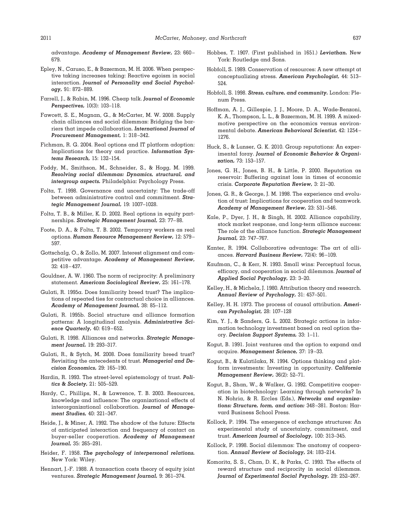- Epley, N., Caruso, E., & Bazerman, M. H. 2006. When perspective taking increases taking: Reactive egoism in social interaction. *Journal of Personality and Social Psychology,* 91: 872– 889.
- Farrell, J., & Rabin, M. 1996. Cheap talk. *Journal of Economic Perspectives,* 10(3): 103–118.
- Fawcett, S. E., Magnan, G., & McCarter, M. W. 2008. Supply chain alliances and social dilemmas: Bridging the barriers that impede collaboration. *International Journal of Procurement Management,* 1: 318 –342.
- Fichman, R. G. 2004. Real options and IT platform adoption: Implications for theory and practice. *Information Systems Research,* 15: 132–154.
- Foddy, M., Smithson, M., Schneider, S., & Hogg, M. 1999. *Resolving social dilemmas: Dynamics, structural, and intergroup aspects.* Philadelphia: Psychology Press.
- Folta, T. 1998. Governance and uncertainty: The trade-off between administrative control and commitment. *Strategic Management Journal,* 19: 1007–1028.
- Folta, T. B., & Miller, K. D. 2002. Real options in equity partnerships. *Strategic Management Journal,* 23: 77– 88.
- Foote, D. A., & Folta, T. B. 2002. Temporary workers as real options. *Human Resource Management Review,* 12: 579 – 597.
- Gottschalg, O., & Zollo, M. 2007. Interest alignment and competitive advantage. *Academy of Management Review,* 32: 418 – 437.
- Gouldner, A. W. 1960. The norm of reciprocity: A preliminary statement. *American Sociological Review,* 25: 161–178.
- Gulati, R. 1995a. Does familiarity breed trust? The implications of repeated ties for contractual choice in alliances. *Academy of Management Journal,* 38: 85–112.
- Gulati, R. 1995b. Social structure and alliance formation patterns: A longitudinal analysis. *Administrative Science Quarterly,* 40: 619 – 652.
- Gulati, R. 1998. Alliances and networks. *Strategic Management Journal,* 19: 293–317.
- Gulati, R., & Sytch, M. 2008. Does familiarity breed trust? Revisiting the antecedents of trust. *Managerial and Decision Economics,* 29: 165–190.
- Hardin, R. 1993. The street-level epistemology of trust. *Politics & Society,* 21: 505–529.
- Hardy, C., Phillips, N., & Lawrence, T. B. 2003. Resources, knowledge and influence: The organizational effects of interorganizational collaboration. *Journal of Management Studies,* 40: 321–347.
- Heide, J., & Miner, A. 1992. The shadow of the future: Effects of anticipated interaction and frequency of contact on buyer-seller cooperation. *Academy of Management Journal,* 35: 265–291.
- Heider, F. 1958. *The psychology of interpersonal relations.* New York: Wiley.
- Hennart, J.-F. 1988. A transaction costs theory of equity joint ventures. *Strategic Management Journal,* 9: 361–374.
- Hobbes, T. 1907. (First published in 1651.) *Leviathan.* New York: Routledge and Sons.
- Hobfoll, S. 1989. Conservation of resources: A new attempt at conceptualizing stress. *American Psychologist,* 44: 513– 524.
- Hobfoll, S. 1998. *Stress, culture, and community.* London: Plenum Press.
- Hoffman, A. J., Gillespie, J. J., Moore, D. A., Wade-Benzoni, K. A., Thompson, L. L., & Bazerman, M. H. 1999. A mixedmotive perspective on the economics versus environmental debate. *American Behavioral Scientist,* 42: 1254 – 1276.
- Huck, S., & Lunser, G. K. 2010. Group reputations: An experimental foray. *Journal of Economic Behavior & Organization,* 73: 153–157.
- Jones, G. H., Jones, B. H., & Little, P. 2000. Reputation as reservoir: Buffering against loss in times of economic crisis. *Corporate Reputation Review,* 3: 21–30.
- Jones, G. R., & George, J. M. 1998. The experience and evolution of trust: Implications for cooperation and teamwork. *Academy of Management Review,* 23: 531–546.
- Kale, P., Dyer, J. H., & Singh, H. 2002. Alliance capability, stock market response, and long-term alliance success: The role of the alliance function. *Strategic Management Journal,* 23: 747–767.
- Kanter, R. 1994. Collaborative advantage: The art of alliances. *Harvard Business Review,* 72(4): 96 –109.
- Kaufman, C., & Kerr, N. 1993. Small wins: Perceptual focus, efficacy, and cooperation in social dilemmas. *Journal of Applied Social Psychology,* 23: 3–20.
- Kelley, H., & Michela, J. 1980. Attribution theory and research. *Annual Review of Psychology,* 31: 457–501.
- Kelley, H. H. 1973. The process of causal attribution. *American Psychologist,* 28: 107–128
- Kim, Y. J., & Sanders, G. L. 2002. Strategic actions in information technology investment based on real option theory. *Decision Support Systems,* 33: 1–11.
- Kogut, B. 1991. Joint ventures and the option to expand and acquire. *Management Science,* 37: 19 –33.
- Kogut, B., & Kulatilaka, N. 1994. Options thinking and platform investments: Investing in opportunity. *California Management Review,* 36(2): 52–71.
- Kogut, B., Shan, W., & Walker, G. 1992. Competitive cooperation in biotechnology: Learning through networks? In N. Nohria, & R. Eccles (Eds.), *Networks and organizations: Structure, form, and action:* 348 –381. Boston: Harvard Business School Press.
- Kollock, P. 1994. The emergence of exchange structures: An experimental study of uncertainty, commitment, and trust. *American Journal of Sociology,* 100: 313–345.
- Kollock, P. 1998. Social dilemmas: The anatomy of cooperation. *Annual Review of Sociology,* 24: 183–214.
- Komorita, S. S., Chan, D. K., & Parks, C. 1993. The effects of reward structure and reciprocity in social dilemmas. *Journal of Experimental Social Psychology,* 29: 252–267.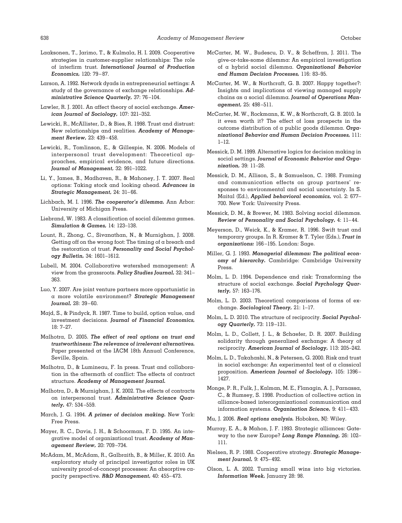- Laaksonen, T., Jarimo, T., & Kulmala, H. I. 2009. Cooperative strategies in customer-supplier relationships: The role of interfirm trust. *International Journal of Production Economics,* 120: 79 – 87.
- Larson, A. 1992. Network dyads in entrepreneurial settings: A study of the governance of exchange relationships. *Administrative Science Quarterly,* 37: 76 –104.
- Lawler, R. J. 2001. An affect theory of social exchange. *American Journal of Sociology,* 107: 321–352.
- Lewicki, R., McAllister, D., & Bies, R. 1998. Trust and distrust: New relationships and realities. *Academy of Management Review,* 23: 439 – 458.
- Lewicki, R., Tomlinson, E., & Gillespie, N. 2006. Models of interpersonal trust development: Theoretical approaches, empirical evidence, and future directions. *Journal of Management,* 32: 991–1022.
- Li, Y., James, B., Madhaven, R., & Mahoney, J. T. 2007. Real options: Taking stock and looking ahead. *Advances in Strategic Management,* 24: 31– 66.
- Lichbach, M. I. 1996. *The cooperator's dilemma.* Ann Arbor: University of Michigan Press.
- Liebrand, W. 1983. A classification of social dilemma games. *Simulation & Games,* 14: 123–138.
- Lount, R., Zhong, C., Sivanathan, N., & Murnighan, J. 2008. Getting off on the wrong foot: The timing of  $\alpha$  breach and the restoration of trust. *Personality and Social Psychology Bulletin,* 34: 1601–1612.
- Lubell, M. 2004. Collaborative watershed management: A view from the grassroots. *Policy Studies Journal,* 32: 341– 363.
- Luo, Y. 2007. Are joint venture partners more opportunistic in a more volatile environment? *Strategic Management Journal*, 28: 39-60.
- Majd, S., & Pindyck, R. 1987. Time to build, option value, and investment decisions. *Journal of Financial Economics,* 18: 7–27.
- Malhotra, D. 2005. *The effect of real options on trust and trustworthiness: The relevance of irrelevant alternatives.* Paper presented at the IACM 18th Annual Conference, Seville, Spain.
- Malhotra, D., & Lumineau, F. In press. Trust and collaboration in the aftermath of conflict: The effects of contract structure. *Academy of Management Journal.*
- Malhotra, D., & Murnighan, J. K. 2002. The effects of contracts on interpersonal trust. *Administrative Science Quarterly,* 47: 534 –559.
- March, J. G. 1994. *A primer of decision making.* New York: Free Press.
- Mayer, R. C., Davis, J. H., & Schoorman, F. D. 1995. An integrative model of organizational trust. *Academy of Management Review,* 20: 709 –734.
- McAdam, M., McAdam, R., Galbraith, B., & Miller, K. 2010. An exploratory study of principal investigator roles in UK university proof-of-concept processes: An absorptive capacity perspective. *R&D Management,* 40: 455– 473.
- McCarter, M. W., Budescu, D. V., & Scheffran, J. 2011. The give-or-take-some dilemma: An empirical investigation of a hybrid social dilemma. *Organizational Behavior and Human Decision Processes,* 116: 83–95.
- McCarter, M. W., & Northcraft, G. B. 2007. Happy together?: Insights and implications of viewing managed supply chains as a social dilemma. *Journal of Operations Management,* 25: 498 –511.
- McCarter, M. W., Rockmann, K. W., & Northcraft, G. B. 2010. Is it even worth it? The effect of loss prospects in the outcome distribution of a public goods dilemma. *Organizational Behavior and Human Decision Processes,* 111:  $1 - 12$
- Messick, D. M. 1999. Alternative logics for decision making in social settings. *Journal of Economic Behavior and Organization,* 39: 11–28.
- Messick, D. M., Allison, S., & Samuelson, C. 1988. Framing and communication effects on group partners' responses to environmental and social uncertainty. In S. Maital (Ed.), *Applied behavioral economics,* vol. 2: 677– 700. New York: University Press.
- Messick, D. M., & Brewer, M. 1983. Solving social dilemmas. *Review of Personality and Social Psychology,* 4: 11– 44.
- Meyerson, D., Weick, K., & Kramer, R. 1996. Swift trust and temporary groups. In R. Kramer & T. Tyler (Eds.), *Trust in organizations:* 166 –195. London: Sage.
- Miller, G. J. 1993. *Managerial dilemmas: The political economy of hierarchy.* Cambridge: Cambridge University Press.
- Molm, L. D. 1994. Dependence and risk: Transforming the structure of social exchange. *Social Psychology Quarterly,* 57: 163–176.
- Molm, L. D. 2003. Theoretical comparisons of forms of exchange. *Sociological Theory,* 21: 1–17.
- Molm, L. D. 2010. The structure of reciprocity. *Social Psychology Quarterly,* 73: 119 –131.
- Molm, L. D., Collett, J. L., & Schaefer, D. R. 2007. Building solidarity through generalized exchange: A theory of reciprocity. *American Journal of Sociology,* 113: 205–242.
- Molm, L. D., Takahashi, N., & Petersen, G. 2000. Risk and trust in social exchange: An experimental test of a classical proposition. *American Journal of Sociology,* 105: 1396 – 1427.
- Monge, P. R., Fulk, J., Kalman, M. E., Flanagin, A. J., Parnassa, C., & Rumsey, S. 1998. Production of collective action in alliance-based interorganizational communication and information systems. *Organization Science,* 9: 411– 433.
- Mu, J. 2006. *Real options analysis.* Hoboken, NJ: Wiley.
- Murray, E. A., & Mahon, J. F. 1993. Strategic alliances: Gateway to the new Europe? *Long Range Planning,* 26: 102– 111.
- Nielsen, R. P. 1988. Cooperative strategy. *Strategic Management Journal,* 9: 475– 492.
- Olson, L. A. 2002. Turning small wins into big victories. *Information Week,* January 28: 98.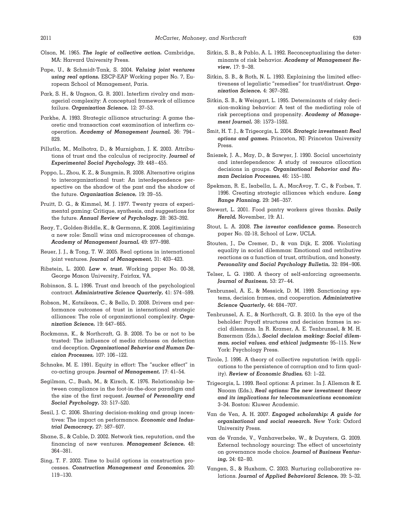- Olson, M. 1965. *The logic of collective action.* Cambridge, MA: Harvard University Press.
- Pape, U., & Schmidt-Tank, S. 2004. *Valuing joint ventures using real options.* ESCP-EAP Working paper No. 7, European School of Management, Paris.
- Park, S. H., & Ungson, G. R. 2001. Interfirm rivalry and managerial complexity: A conceptual framework of alliance failure. *Organization Science,* 12: 37–53.
- Parkhe, A. 1993. Strategic alliance structuring: A game theoretic and transaction cost examination of interfirm cooperation. *Academy of Management Journal,* 36: 794 – 829.
- Pillutla, M., Malhotra, D., & Murnighan, J. K. 2003. Attributions of trust and the calculus of reciprocity. *Journal of Experimental Social Psychology,* 39: 448 – 455.
- Poppo, L., Zhou, K. Z., & Sungmin, R. 2008. Alternative origins to interorganizational trust: An interdependence perspective on the shadow of the past and the shadow of the future. *Organization Science,* 19: 39 –55.
- Pruitt, D. G., & Kimmel, M. J. 1977. Twenty years of experimental gaming: Critique, synthesis, and suggestions for the future. *Annual Review of Psychology,* 28: 363–392.
- Reay, T., Golden-Biddle, K., & Germann, K. 2006. Legitimizing a new role: Small wins and microprocesses of change. *Academy of Management Journal,* 49: 977–998.
- Reuer, J. J., & Tong, T. W. 2005. Real options in international joint ventures. *Journal of Management,* 31: 403– 423.
- Ribstein, L. 2000. *Law v. trust.* Working paper No. 00-38, George Mason University, Fairfax, VA.
- Robinson, S. L. 1996. Trust and breach of the psychological contract. *Administrative Science Quarterly,* 41: 574 –599.
- Robson, M., Katsikeas, C., & Bello, D. 2008. Drivers and performance outcomes of trust in international strategic alliances: The role of organizational complexity. *Organization Science,* 19: 647– 665.
- Rockmann, K., & Northcraft, G. B. 2008. To be or not to be trusted: The influence of media richness on defection and deception. *Organizational Behavior and Human Decision Processes,* 107: 106 –122.
- Schnake, M. E. 1991. Equity in effort: The "sucker effect" in co-acting groups. *Journal of Management,* 17: 41–54.
- Segilman, C., Bush, M., & Kirsch, K. 1976. Relationship between compliance in the foot-in-the-door paradigm and the size of the first request. *Journal of Personality and Social Psychology,* 33: 517–520.
- Sesil, J. C. 2006. Sharing decision-making and group incentives: The impact on performance. *Economic and Industrial Democracy,* 27: 587– 607.
- Shane, S., & Cable, D. 2002. Network ties, reputation, and the financing of new ventures. *Management Science,* 48: 364 –381.
- Sing, T. F. 2002. Time to build options in construction processes. *Construction Management and Economics,* 20: 119 –130.
- Sitkin, S. B., & Pablo, A. L. 1992. Reconceptualizing the determinants of risk behavior. *Academy of Management Review,* 17: 9 –38.
- Sitkin, S. B., & Roth, N. L. 1993. Explaining the limited effectiveness of legalistic "remedies" for trust/distrust. *Organization Science,* 4: 367–392.
- Sitkin, S. B., & Weingart, L. 1995. Determinants of risky decision-making behavior: A test of the mediating role of risk perceptions and propensity. *Academy of Management Journal,* 38: 1573–1592.
- Smit, H. T. J., & Trigeorgis, L. 2004. *Strategic investment: Real options and games.* Princeton, NJ: Princeton University Press.
- Sniezek, J. A., May, D., & Sawyer, J. 1990. Social uncertainty and interdependence: A study of resource allocation decisions in groups. *Organizational Behavior and Human Decision Processes,* 46: 155–180.
- Spekman, R. E., Isabella, L. A., MacAvoy, T. C., & Forbes, T. 1996. Creating strategic alliances which endure. *Long Range Planning,* 29: 346 –357.
- Stewart, L. 2001. Food pantry workers gives thanks. *Daily Herald,* November, 19: A1.
- Stout, L. A. 2008. *The investor confidence game.* Research paper No. 02-18, School of Law, UCLA.
- Stouten, J., De Cremer, D., & van Dijk, E. 2006. Violating equality in social dilemmas: Emotional and retributive reactions as a function of trust, attribution, and honesty. *Personality and Social Psychology Bulletin,* 32: 894 –906.
- Telser, L. G. 1980. A theory of self-enforcing agreements. *Journal of Business,* 53: 27– 44.
- Tenbrunsel, A. E., & Messick, D. M. 1999. Sanctioning systems, decision frames, and cooperation. *Administrative Science Quarterly,* 44: 684 –707.
- Tenbrunsel, A. E., & Northcraft, G. B. 2010. In the eye of the beholder: Payoff structures and decision frames in social dilemmas. In R. Kramer, A. E. Tenbrunsel, & M. H. Bazerman (Eds.), *Social decision making: Social dilemmas, social values, and ethical judgments:* 95–115. New York: Psychology Press.
- Tirole, J. 1996. A theory of collective reputation (with applications to the persistence of corruption and to firm quality). *Review of Economic Studies,* 63: 1–22.
- Trigeorgis, L. 1999. Real options: A primer. In J. Alleman & E. Naoam (Eds.), *Real options: The new investment theory and its implications for telecommunications economics:* 3–34. Boston: Kluwer Academic.
- Van de Ven, A. H. 2007. *Engaged scholarship: A guide for organizational and social research.* New York: Oxford University Press.
- van de Vrande, V., Vanhaverbeke, W., & Duysters, G. 2009. External technology sourcing: The effect of uncertainty on governance mode choice. *Journal of Business Venturing,* 24: 62– 80.
- Vangen, S., & Huxham, C. 2003. Nurturing collaborative relations. *Journal of Applied Behavioral Science,* 39: 5–32.